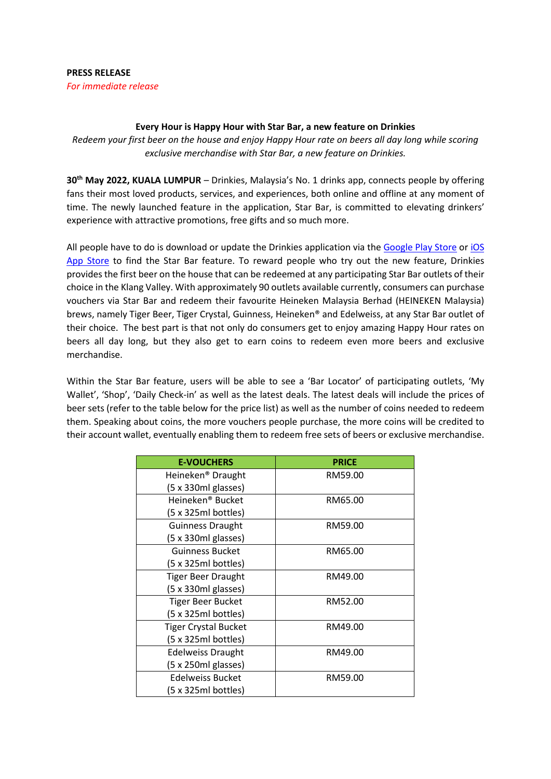## **PRESS RELEASE** *For immediate release*

## **Every Hour is Happy Hour with Star Bar, a new feature on Drinkies**

*Redeem your first beer on the house and enjoy Happy Hour rate on beers all day long while scoring exclusive merchandise with Star Bar, a new feature on Drinkies.*

**30th May 2022, KUALA LUMPUR** – Drinkies, Malaysia's No. 1 drinks app, connects people by offering fans their most loved products, services, and experiences, both online and offline at any moment of time. The newly launched feature in the application, Star Bar, is committed to elevating drinkers' experience with attractive promotions, free gifts and so much more.

All people have to do is download or update the Drinkies application via the [Google Play](https://play.google.com/store/apps/details?id=my.drinkies&gl=US) Store o[r iOS](https://apps.apple.com/us/app/drinkies/id1503178309) App Store to find the Star Bar feature. To reward people who try out the new feature, Drinkies provides the first beer on the house that can be redeemed at any participating Star Bar outlets of their choice in the Klang Valley. With approximately 90 outlets available currently, consumers can purchase vouchers via Star Bar and redeem their favourite Heineken Malaysia Berhad (HEINEKEN Malaysia) brews, namely Tiger Beer, Tiger Crystal, Guinness, Heineken® and Edelweiss, at any Star Bar outlet of their choice. The best part is that not only do consumers get to enjoy amazing Happy Hour rates on beers all day long, but they also get to earn coins to redeem even more beers and exclusive merchandise.

Within the Star Bar feature, users will be able to see a 'Bar Locator' of participating outlets, 'My Wallet', 'Shop', 'Daily Check-in' as well as the latest deals. The latest deals will include the prices of beer sets (refer to the table below for the price list) as well as the number of coins needed to redeem them. Speaking about coins, the more vouchers people purchase, the more coins will be credited to their account wallet, eventually enabling them to redeem free sets of beers or exclusive merchandise.

| <b>E-VOUCHERS</b>                  | <b>PRICE</b> |
|------------------------------------|--------------|
| Heineken <sup>®</sup> Draught      | RM59.00      |
| $(5 \times 330 \text{ml}$ glasses) |              |
| Heineken® Bucket                   | RM65.00      |
| (5 x 325ml bottles)                |              |
| <b>Guinness Draught</b>            | RM59.00      |
| (5 x 330ml glasses)                |              |
| <b>Guinness Bucket</b>             | RM65.00      |
| (5 x 325ml bottles)                |              |
| <b>Tiger Beer Draught</b>          | RM49.00      |
| $(5 \times 330 \text{ml}$ glasses) |              |
| <b>Tiger Beer Bucket</b>           | RM52.00      |
| (5 x 325ml bottles)                |              |
| <b>Tiger Crystal Bucket</b>        | RM49.00      |
| (5 x 325ml bottles)                |              |
| <b>Edelweiss Draught</b>           | RM49.00      |
| $(5 \times 250 \text{ml}$ glasses) |              |
| Edelweiss Bucket                   | RM59.00      |
| (5 x 325ml bottles)                |              |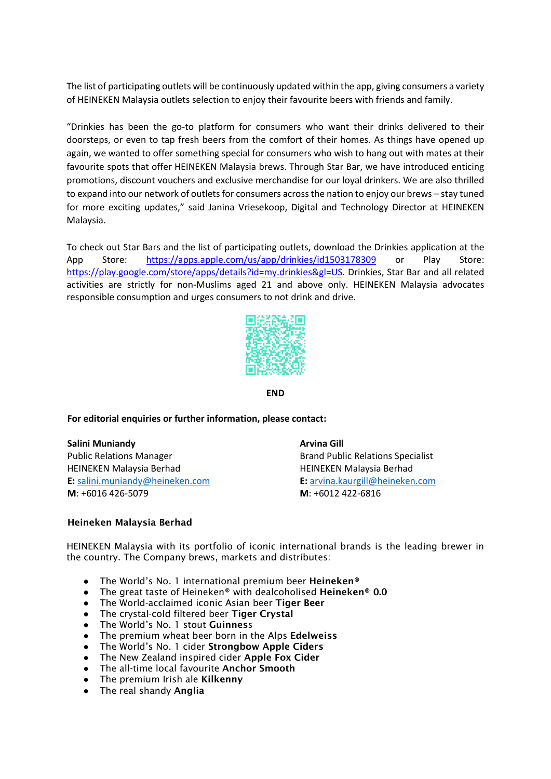The list of participating outlets will be continuously updated within the app, giving consumers a variety of HEINEKEN Malaysia outlets selection to enjoy their favourite beers with friends and family.

"Drinkies has been the go-to platform for consumers who want their drinks delivered to their doorsteps, or even to tap fresh beers from the comfort of their homes. As things have opened up again, we wanted to offer something special for consumers who wish to hang out with mates at their favourite spots that offer HEINEKEN Malaysia brews. Through Star Bar, we have introduced enticing promotions, discount vouchers and exclusive merchandise for our loyal drinkers. We are also thrilled to expand into our network of outlets for consumers across the nation to enjoy our brews – stay tuned for more exciting updates," said Janina Vriesekoop, Digital and Technology Director at HEINEKEN Malaysia.

To check out Star Bars and the list of participating outlets, download the Drinkies application at the App Store: <https://apps.apple.com/us/app/drinkies/id1503178309> or Play Store: [https://play.google.com/store/apps/details?id=my.drinkies&gl=US.](https://play.google.com/store/apps/details?id=my.drinkies&gl=US) Drinkies, Star Bar and all related activities are strictly for non-Muslims aged 21 and above only. HEINEKEN Malaysia advocates responsible consumption and urges consumers to not drink and drive.



**END**

## **For editorial enquiries or further information, please contact:**

**Salini Muniandy Arvina Gill** Public Relations Manager **Brand Public Relations Specialist** Brand Public Relations Specialist HEINEKEN Malaysia Berhad **HEINEKEN Malaysia Berhad E:** [salini.muniandy@heineken.com](about:blank) **[E](about:blank):** [arvina.kaurgill@heineken.com](mailto:arvina.kaurgill@heineken.com) **M**: +6016 426-5079 **M**: +6012 422-6816

## Heineken Malaysia Berhad

HEINEKEN Malaysia with its portfolio of iconic international brands is the leading brewer in the country. The Company brews, markets and distributes:

- The World's No. 1 international premium beer Heineken®
- The great taste of Heineken® with dealcoholised Heineken® 0.0
- The World-acclaimed iconic Asian beer Tiger Beer
- The crystal-cold filtered beer Tiger Crystal
- The World's No. 1 stout Guinness
- The premium wheat beer born in the Alps Edelweiss
- The World's No. 1 cider Strongbow Apple Ciders
- The New Zealand inspired cider Apple Fox Cider
- The all-time local favourite Anchor Smooth
- The premium Irish ale Kilkenny
- The real shandy **Anglia**